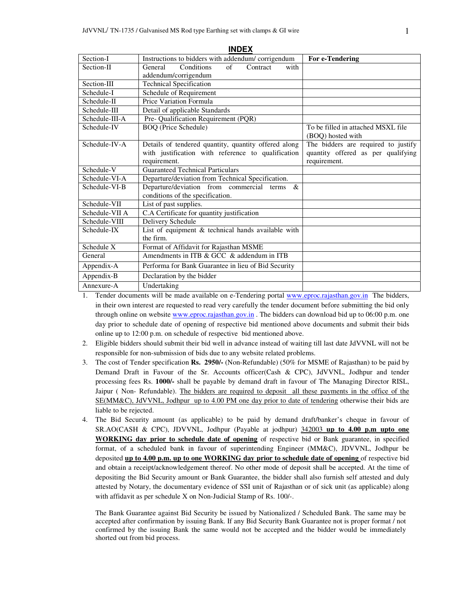|                | ᆢ                                                    |                                     |
|----------------|------------------------------------------------------|-------------------------------------|
| Section-I      | Instructions to bidders with addendum/corrigendum    | For e-Tendering                     |
| Section-II     | Conditions<br>Contract<br>General<br>of<br>with      |                                     |
|                | addendum/corrigendum                                 |                                     |
| Section-III    | <b>Technical Specification</b>                       |                                     |
| Schedule-I     | Schedule of Requirement                              |                                     |
| Schedule-II    | Price Variation Formula                              |                                     |
| Schedule-III   | Detail of applicable Standards                       |                                     |
| Schedule-III-A | Pre- Qualification Requirement (PQR)                 |                                     |
| Schedule-IV    | <b>BOQ</b> (Price Schedule)                          | To be filled in attached MSXL file  |
|                |                                                      | (BOQ) hosted with                   |
| Schedule-IV-A  | Details of tendered quantity, quantity offered along | The bidders are required to justify |
|                | with justification with reference to qualification   | quantity offered as per qualifying  |
|                | requirement.                                         | requirement.                        |
| Schedule-V     | <b>Guaranteed Technical Particulars</b>              |                                     |
| Schedule-VI-A  | Departure/deviation from Technical Specification.    |                                     |
| Schedule-VI-B  | Departure/deviation from commercial terms &          |                                     |
|                | conditions of the specification.                     |                                     |
| Schedule-VII   | List of past supplies.                               |                                     |
| Schedule-VII A | C.A Certificate for quantity justification           |                                     |
| Schedule-VIII  | Delivery Schedule                                    |                                     |
| Schedule-IX    | List of equipment & technical hands available with   |                                     |
|                | the firm.                                            |                                     |
| Schedule X     | Format of Affidavit for Rajasthan MSME               |                                     |
| General        | Amendments in ITB & GCC & addendum in ITB            |                                     |
| Appendix-A     | Performa for Bank Guarantee in lieu of Bid Security  |                                     |
| Appendix-B     | Declaration by the bidder                            |                                     |
| Annexure-A     | Undertaking                                          |                                     |

**INDEX**

- 1. Tender documents will be made available on e-Tendering portal www.eproc.rajasthan.gov.in The bidders, in their own interest are requested to read very carefully the tender document before submitting the bid only through online on website www.eproc.rajasthan.gov.in . The bidders can download bid up to 06:00 p.m. one day prior to schedule date of opening of respective bid mentioned above documents and submit their bids online up to 12:00 p.m. on schedule of respective bid mentioned above.
- 2. Eligible bidders should submit their bid well in advance instead of waiting till last date JdVVNL will not be responsible for non-submission of bids due to any website related problems.
- 3. The cost of Tender specification **Rs. 2950/-** (Non-Refundable) (50% for MSME of Rajasthan) to be paid by Demand Draft in Favour of the Sr. Accounts officer(Cash & CPC), JdVVNL, Jodhpur and tender processing fees Rs. **1000/-** shall be payable by demand draft in favour of The Managing Director RISL, Jaipur (Non-Refundable). The bidders are required to deposit all these payments in the office of the SE(MM&C), JdVVNL, Jodhpur up to 4.00 PM one day prior to date of tendering otherwise their bids are liable to be rejected.
- 4. The Bid Security amount (as applicable) to be paid by demand draft/banker's cheque in favour of SR.AO(CASH & CPC), JDVVNL, Jodhpur (Payable at jodhpur) 342003 **up to 4.00 p.m upto one WORKING day prior to schedule date of opening** of respective bid or Bank guarantee, in specified format, of a scheduled bank in favour of superintending Engineer (MM&C), JDVVNL, Jodhpur be deposited **up to 4.00 p.m. up to one WORKING day prior to schedule date of opening** of respective bid and obtain a receipt/acknowledgement thereof. No other mode of deposit shall be accepted. At the time of depositing the Bid Security amount or Bank Guarantee, the bidder shall also furnish self attested and duly attested by Notary, the documentary evidence of SSI unit of Rajasthan or of sick unit (as applicable) along with affidavit as per schedule X on Non-Judicial Stamp of Rs. 100/-.

The Bank Guarantee against Bid Security be issued by Nationalized / Scheduled Bank. The same may be accepted after confirmation by issuing Bank. If any Bid Security Bank Guarantee not is proper format / not confirmed by the issuing Bank the same would not be accepted and the bidder would be immediately shorted out from bid process.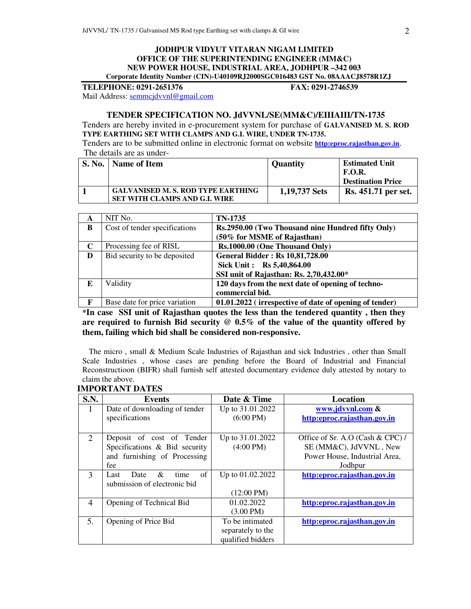#### **JODHPUR VIDYUT VITARAN NIGAM LIMITED OFFICE OF THE SUPERINTENDING ENGINEER (MM&C) NEW POWER HOUSE, INDUSTRIAL AREA, JODHPUR –342 003 Corporate Identity Number (CIN)-U40109RJ2000SGC016483 GST No. 08AAACJ8578R1ZJ**

**TELEPHONE: 0291-2651376 FAX: 0291-2746539**  Mail Address: semmcjdvvnl@gmail.com

#### **TENDER SPECIFICATION NO. JdVVNL/SE(MM&C)/EIIIAIII/TN-1735**

Tenders are hereby invited in e-procurement system for purchase of **GALVANISED M. S. ROD TYPE EARTHING SET WITH CLAMPS AND G.I. WIRE, UNDER TN-1735.** 

Tenders are to be submitted online in electronic format on website **http:eproc.rajasthan.gov.in**. The details are as under-

| S. No.   Name of Item                                                      | <b>Quantity</b> | <b>Estimated Unit</b><br><b>F.O.R.</b><br><b>Destination Price</b> |
|----------------------------------------------------------------------------|-----------------|--------------------------------------------------------------------|
| <b>GALVANISED M. S. ROD TYPE EARTHING</b><br>SET WITH CLAMPS AND G.I. WIRE | 1,19,737 Sets   | <b>Rs.</b> 451.71 per set.                                         |

| A            | NIT No.                       | TN-1735                                                |
|--------------|-------------------------------|--------------------------------------------------------|
| B            | Cost of tender specifications | Rs.2950.00 (Two Thousand nine Hundred fifty Only)      |
|              |                               | (50% for MSME of Rajasthan)                            |
| C            | Processing fee of RISL        | Rs.1000.00 (One Thousand Only)                         |
| D            | Bid security to be deposited  | <b>General Bidder: Rs 10,81,728.00</b>                 |
|              |                               | Sick Unit: Rs 5,40,864.00                              |
|              |                               | SSI unit of Rajasthan: Rs. 2,70,432.00*                |
| E            | Validity                      | 120 days from the next date of opening of techno-      |
|              |                               | commercial bid.                                        |
| $\mathbf{F}$ | Base date for price variation | 01.01.2022 (irrespective of date of opening of tender) |

**\*In case SSI unit of Rajasthan quotes the less than the tendered quantity , then they are required to furnish Bid security @ 0.5% of the value of the quantity offered by them, failing which bid shall be considered non-responsive.** 

 The micro , small & Medium Scale Industries of Rajasthan and sick Industries , other than Small Scale Industries , whose cases are pending before the Board of Industrial and Financial Reconstructioon (BIFR) shall furnish self attested documentary evidence duly attested by notary to claim the above.

# **IMPORTANT DATES**

| S.N. | <b>Events</b>                   | Date & Time          | Location                         |
|------|---------------------------------|----------------------|----------------------------------|
| 1    | Date of downloading of tender   | Up to 31.01.2022     | www.jdvvnl.com &                 |
|      | specifications                  | $(6:00 \text{ PM})$  | http:eproc.rajasthan.gov.in      |
|      |                                 |                      |                                  |
| 2    | Deposit of cost of Tender       | Up to 31.01.2022     | Office of Sr. A.O (Cash & CPC) / |
|      | Specifications & Bid security   | $(4:00 \text{ PM})$  | SE (MM&C), JdVVNL, New           |
|      | and furnishing of Processing    |                      | Power House, Industrial Area,    |
|      | fee                             |                      | Jodhpur                          |
| 3    | of<br>&<br>Date<br>time<br>Last | Up to 01.02.2022     | http:eproc.rajasthan.gov.in      |
|      | submission of electronic bid    |                      |                                  |
|      |                                 | $(12:00 \text{ PM})$ |                                  |
| 4    | Opening of Technical Bid        | 01.02.2022           | http:eproc.rajasthan.gov.in      |
|      |                                 | $(3.00 \text{ PM})$  |                                  |
| 5.   | Opening of Price Bid            | To be intimated      | http:eproc.rajasthan.gov.in      |
|      |                                 | separately to the    |                                  |
|      |                                 | qualified bidders    |                                  |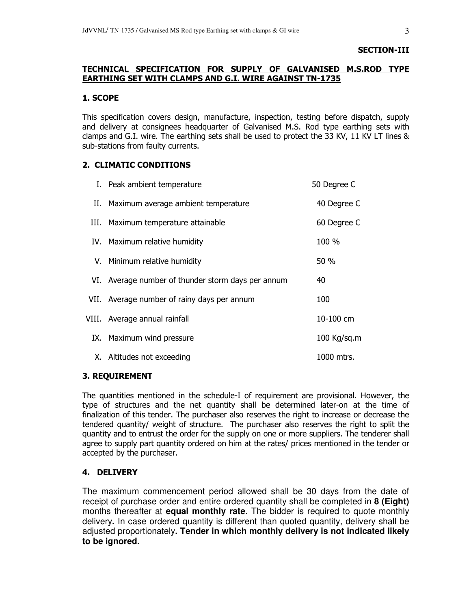#### SECTION-III

# TECHNICAL SPECIFICATION FOR SUPPLY OF GALVANISED M.S.ROD TYPE EARTHING SET WITH CLAMPS AND G.I. WIRE AGAINST TN-1735

#### 1. SCOPE

This specification covers design, manufacture, inspection, testing before dispatch, supply and delivery at consignees headquarter of Galvanised M.S. Rod type earthing sets with clamps and G.I. wire. The earthing sets shall be used to protect the 33 KV, 11 KV LT lines & sub-stations from faulty currents.

#### 2. CLIMATIC CONDITIONS

| I. Peak ambient temperature                        | 50 Degree C |
|----------------------------------------------------|-------------|
| II. Maximum average ambient temperature            | 40 Degree C |
| III. Maximum temperature attainable                | 60 Degree C |
| IV. Maximum relative humidity                      | 100 %       |
| V. Minimum relative humidity                       | 50 %        |
| VI. Average number of thunder storm days per annum | 40          |
| VII. Average number of rainy days per annum        | 100         |
| VIII. Average annual rainfall                      | 10-100 cm   |
| IX. Maximum wind pressure                          | 100 Kg/sq.m |
| X. Altitudes not exceeding                         | 1000 mtrs.  |

#### 3. REQUIREMENT

The quantities mentioned in the schedule-I of requirement are provisional. However, the type of structures and the net quantity shall be determined later-on at the time of finalization of this tender. The purchaser also reserves the right to increase or decrease the tendered quantity/ weight of structure. The purchaser also reserves the right to split the quantity and to entrust the order for the supply on one or more suppliers. The tenderer shall agree to supply part quantity ordered on him at the rates/ prices mentioned in the tender or accepted by the purchaser.

#### 4. DELIVERY

The maximum commencement period allowed shall be 30 days from the date of receipt of purchase order and entire ordered quantity shall be completed in **8 (Eight)** months thereafter at **equal monthly rate**. The bidder is required to quote monthly delivery**.** In case ordered quantity is different than quoted quantity, delivery shall be adjusted proportionately**. Tender in which monthly delivery is not indicated likely to be ignored.**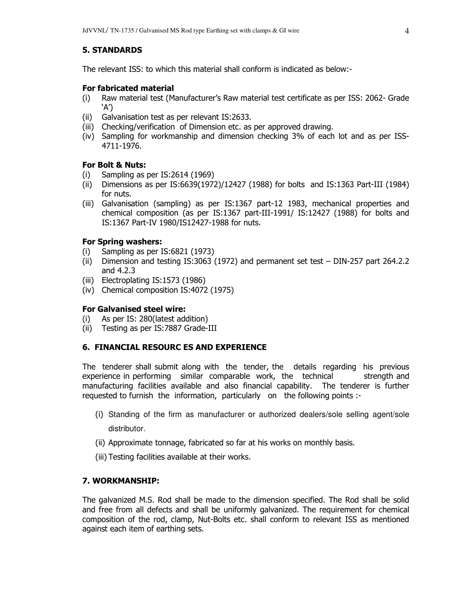# 5. STANDARDS

The relevant ISS: to which this material shall conform is indicated as below:-

#### For fabricated material

- (i) Raw material test (Manufacturer's Raw material test certificate as per ISS: 2062- Grade 'A')
- (ii) Galvanisation test as per relevant IS:2633.
- (iii) Checking/verification of Dimension etc. as per approved drawing.
- (iv) Sampling for workmanship and dimension checking 3% of each lot and as per ISS-4711-1976.

#### For Bolt & Nuts:

- (i) Sampling as per IS:2614 (1969)
- (ii) Dimensions as per IS:6639(1972)/12427 (1988) for bolts and IS:1363 Part-III (1984) for nuts.
- (iii) Galvanisation (sampling) as per IS:1367 part-12 1983, mechanical properties and chemical composition (as per IS:1367 part-III-1991/ IS:12427 (1988) for bolts and IS:1367 Part-IV 1980/IS12427-1988 for nuts.

#### For Spring washers:

- (i) Sampling as per IS:6821 (1973)
- (ii) Dimension and testing IS:3063 (1972) and permanent set test DIN-257 part 264.2.2 and 4.2.3
- (iii) Electroplating IS:1573 (1986)
- (iv) Chemical composition IS:4072 (1975)

#### For Galvanised steel wire:

- (i) As per IS: 280(latest addition)
- (ii) Testing as per IS:7887 Grade-III

#### 6. FINANCIAL RESOURC ES AND EXPERIENCE

The tenderer shall submit along with the tender, the details regarding his previous experience in performing similar comparable work, the technical strength and manufacturing facilities available and also financial capability. The tenderer is further requested to furnish the information, particularly on the following points :-

- (i) Standing of the firm as manufacturer or authorized dealers/sole selling agent/sole distributor.
- (ii) Approximate tonnage, fabricated so far at his works on monthly basis.
- (iii) Testing facilities available at their works.

#### 7. WORKMANSHIP:

The galvanized M.S. Rod shall be made to the dimension specified. The Rod shall be solid and free from all defects and shall be uniformly galvanized. The requirement for chemical composition of the rod, clamp, Nut-Bolts etc. shall conform to relevant ISS as mentioned against each item of earthing sets.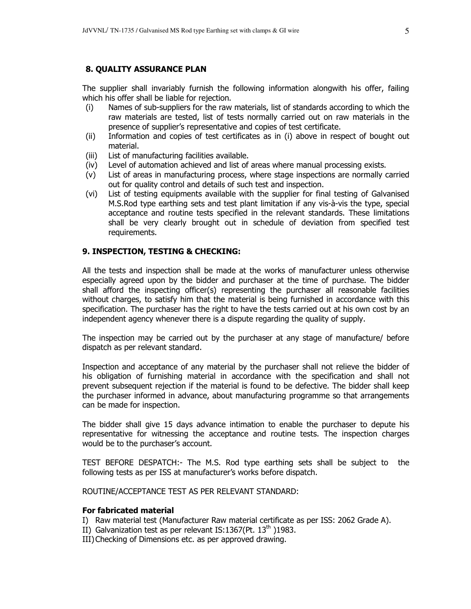#### 8. QUALITY ASSURANCE PLAN

The supplier shall invariably furnish the following information alongwith his offer, failing which his offer shall be liable for rejection.

- (i) Names of sub-suppliers for the raw materials, list of standards according to which the raw materials are tested, list of tests normally carried out on raw materials in the presence of supplier's representative and copies of test certificate.
- (ii) Information and copies of test certificates as in (i) above in respect of bought out material.
- (iii) List of manufacturing facilities available.
- (iv) Level of automation achieved and list of areas where manual processing exists.
- (v) List of areas in manufacturing process, where stage inspections are normally carried out for quality control and details of such test and inspection.
- (vi) List of testing equipments available with the supplier for final testing of Galvanised M.S.Rod type earthing sets and test plant limitation if any vis-à-vis the type, special acceptance and routine tests specified in the relevant standards. These limitations shall be very clearly brought out in schedule of deviation from specified test requirements.

#### 9. INSPECTION, TESTING & CHECKING:

All the tests and inspection shall be made at the works of manufacturer unless otherwise especially agreed upon by the bidder and purchaser at the time of purchase. The bidder shall afford the inspecting officer(s) representing the purchaser all reasonable facilities without charges, to satisfy him that the material is being furnished in accordance with this specification. The purchaser has the right to have the tests carried out at his own cost by an independent agency whenever there is a dispute regarding the quality of supply.

The inspection may be carried out by the purchaser at any stage of manufacture/ before dispatch as per relevant standard.

Inspection and acceptance of any material by the purchaser shall not relieve the bidder of his obligation of furnishing material in accordance with the specification and shall not prevent subsequent rejection if the material is found to be defective. The bidder shall keep the purchaser informed in advance, about manufacturing programme so that arrangements can be made for inspection.

The bidder shall give 15 days advance intimation to enable the purchaser to depute his representative for witnessing the acceptance and routine tests. The inspection charges would be to the purchaser's account.

TEST BEFORE DESPATCH:- The M.S. Rod type earthing sets shall be subject to the following tests as per ISS at manufacturer's works before dispatch.

ROUTINE/ACCEPTANCE TEST AS PER RELEVANT STANDARD:

#### For fabricated material

- I) Raw material test (Manufacturer Raw material certificate as per ISS: 2062 Grade A).
- II) Galvanization test as per relevant IS:1367(Pt.  $13<sup>th</sup>$ )1983.
- III)Checking of Dimensions etc. as per approved drawing.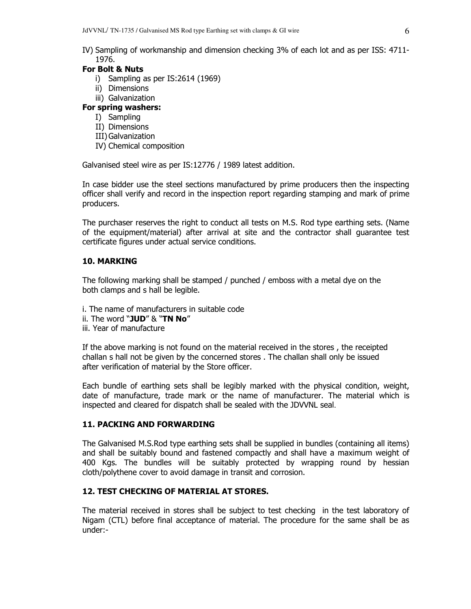IV) Sampling of workmanship and dimension checking 3% of each lot and as per ISS: 4711- 1976.

#### For Bolt & Nuts

- i) Sampling as per IS:2614 (1969)
- ii) Dimensions
- iii) Galvanization

#### For spring washers:

- I) Sampling
- II) Dimensions
- III)Galvanization
- IV) Chemical composition

Galvanised steel wire as per IS:12776 / 1989 latest addition.

In case bidder use the steel sections manufactured by prime producers then the inspecting officer shall verify and record in the inspection report regarding stamping and mark of prime producers.

The purchaser reserves the right to conduct all tests on M.S. Rod type earthing sets. (Name of the equipment/material) after arrival at site and the contractor shall guarantee test certificate figures under actual service conditions.

#### 10. MARKING

The following marking shall be stamped / punched / emboss with a metal dye on the both clamps and s hall be legible.

- i. The name of manufacturers in suitable code
- ii. The word " $JUD''$  & "TN No"
- iii. Year of manufacture

If the above marking is not found on the material received in the stores , the receipted challan s hall not be given by the concerned stores . The challan shall only be issued after verification of material by the Store officer.

Each bundle of earthing sets shall be legibly marked with the physical condition, weight, date of manufacture, trade mark or the name of manufacturer. The material which is inspected and cleared for dispatch shall be sealed with the JDVVNL seal.

#### 11. PACKING AND FORWARDING

The Galvanised M.S.Rod type earthing sets shall be supplied in bundles (containing all items) and shall be suitably bound and fastened compactly and shall have a maximum weight of 400 Kgs. The bundles will be suitably protected by wrapping round by hessian cloth/polythene cover to avoid damage in transit and corrosion.

#### 12. TEST CHECKING OF MATERIAL AT STORES.

The material received in stores shall be subject to test checking in the test laboratory of Nigam (CTL) before final acceptance of material. The procedure for the same shall be as under:-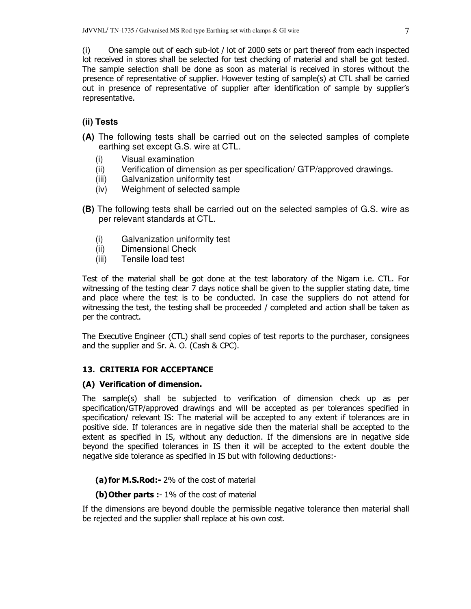(i) One sample out of each sub-lot / lot of 2000 sets or part thereof from each inspected lot received in stores shall be selected for test checking of material and shall be got tested. The sample selection shall be done as soon as material is received in stores without the presence of representative of supplier. However testing of sample(s) at CTL shall be carried out in presence of representative of supplier after identification of sample by supplier's representative.

# **(ii) Tests**

- **(A)** The following tests shall be carried out on the selected samples of complete earthing set except G.S. wire at CTL.
	- (i) Visual examination
	- (ii) Verification of dimension as per specification/ GTP/approved drawings.
	- (iii) Galvanization uniformity test
	- (iv) Weighment of selected sample
- **(B)** The following tests shall be carried out on the selected samples of G.S. wire as per relevant standards at CTL.
	- (i) Galvanization uniformity test
	- (ii) Dimensional Check
	- (iii) Tensile load test

Test of the material shall be got done at the test laboratory of the Nigam i.e. CTL. For witnessing of the testing clear 7 days notice shall be given to the supplier stating date, time and place where the test is to be conducted. In case the suppliers do not attend for witnessing the test, the testing shall be proceeded / completed and action shall be taken as per the contract.

The Executive Engineer (CTL) shall send copies of test reports to the purchaser, consignees and the supplier and Sr. A. O. (Cash & CPC).

#### 13. CRITERIA FOR ACCEPTANCE

#### (A) Verification of dimension.

The sample(s) shall be subjected to verification of dimension check up as per specification/GTP/approved drawings and will be accepted as per tolerances specified in specification/ relevant IS: The material will be accepted to any extent if tolerances are in positive side. If tolerances are in negative side then the material shall be accepted to the extent as specified in IS, without any deduction. If the dimensions are in negative side beyond the specified tolerances in IS then it will be accepted to the extent double the negative side tolerance as specified in IS but with following deductions:-

(a) for M.S.Rod: - 2% of the cost of material

(b) Other parts :- 1% of the cost of material

If the dimensions are beyond double the permissible negative tolerance then material shall be rejected and the supplier shall replace at his own cost.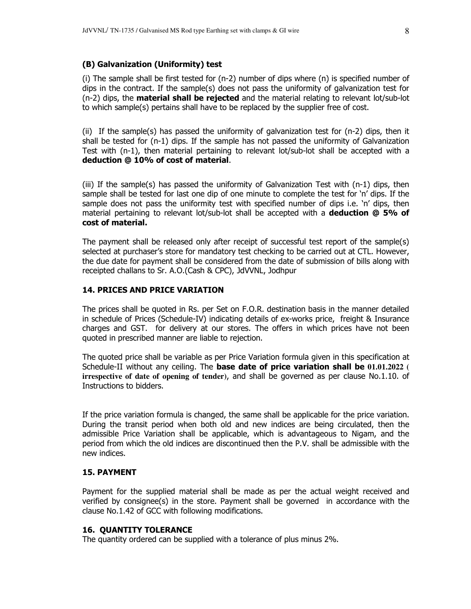#### (B) Galvanization (Uniformity) test

 (i) The sample shall be first tested for (n-2) number of dips where (n) is specified number of dips in the contract. If the sample(s) does not pass the uniformity of galvanization test for  $(n-2)$  dips, the **material shall be rejected** and the material relating to relevant lot/sub-lot to which sample(s) pertains shall have to be replaced by the supplier free of cost.

(ii) If the sample(s) has passed the uniformity of galvanization test for  $(n-2)$  dips, then it shall be tested for (n-1) dips. If the sample has not passed the uniformity of Galvanization Test with (n-1), then material pertaining to relevant lot/sub-lot shall be accepted with a deduction @ 10% of cost of material.

(iii) If the sample(s) has passed the uniformity of Galvanization Test with  $(n-1)$  dips, then sample shall be tested for last one dip of one minute to complete the test for 'n' dips. If the sample does not pass the uniformity test with specified number of dips i.e. 'n' dips, then material pertaining to relevant lot/sub-lot shall be accepted with a **deduction @ 5% of** cost of material.

The payment shall be released only after receipt of successful test report of the sample(s) selected at purchaser's store for mandatory test checking to be carried out at CTL. However, the due date for payment shall be considered from the date of submission of bills along with receipted challans to Sr. A.O.(Cash & CPC), JdVVNL, Jodhpur

#### 14. PRICES AND PRICE VARIATION

The prices shall be quoted in Rs. per Set on F.O.R. destination basis in the manner detailed in schedule of Prices (Schedule-IV) indicating details of ex-works price, freight & Insurance charges and GST. for delivery at our stores. The offers in which prices have not been quoted in prescribed manner are liable to rejection.

The quoted price shall be variable as per Price Variation formula given in this specification at Schedule-II without any ceiling. The base date of price variation shall be **01.01.2022 ( irrespective of date of opening of tender)**, and shall be governed as per clause No.1.10. of Instructions to bidders.

If the price variation formula is changed, the same shall be applicable for the price variation. During the transit period when both old and new indices are being circulated, then the admissible Price Variation shall be applicable, which is advantageous to Nigam, and the period from which the old indices are discontinued then the P.V. shall be admissible with the new indices.

#### 15. PAYMENT

Payment for the supplied material shall be made as per the actual weight received and verified by consignee(s) in the store. Payment shall be governed in accordance with the clause No.1.42 of GCC with following modifications.

#### 16. QUANTITY TOLERANCE

The quantity ordered can be supplied with a tolerance of plus minus 2%.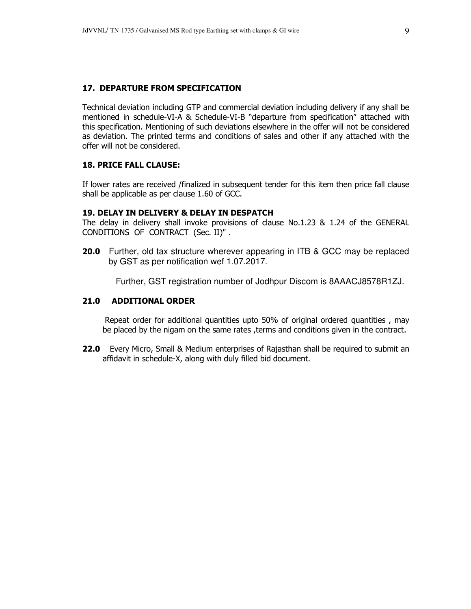#### 17. DEPARTURE FROM SPECIFICATION

Technical deviation including GTP and commercial deviation including delivery if any shall be mentioned in schedule-VI-A & Schedule-VI-B "departure from specification" attached with this specification. Mentioning of such deviations elsewhere in the offer will not be considered as deviation. The printed terms and conditions of sales and other if any attached with the offer will not be considered.

#### 18. PRICE FALL CLAUSE:

If lower rates are received /finalized in subsequent tender for this item then price fall clause shall be applicable as per clause 1.60 of GCC.

#### 19. DELAY IN DELIVERY & DELAY IN DESPATCH

The delay in delivery shall invoke provisions of clause No.1.23 & 1.24 of the GENERAL CONDITIONS OF CONTRACT (Sec. II)" .

**20.0** Further, old tax structure wherever appearing in ITB & GCC may be replaced by GST as per notification wef 1.07.2017.

Further, GST registration number of Jodhpur Discom is 8AAACJ8578R1ZJ.

#### 21.0 ADDITIONAL ORDER

 Repeat order for additional quantities upto 50% of original ordered quantities , may be placed by the nigam on the same rates , terms and conditions given in the contract.

**22.0** Every Micro, Small & Medium enterprises of Rajasthan shall be required to submit an affidavit in schedule-X, along with duly filled bid document.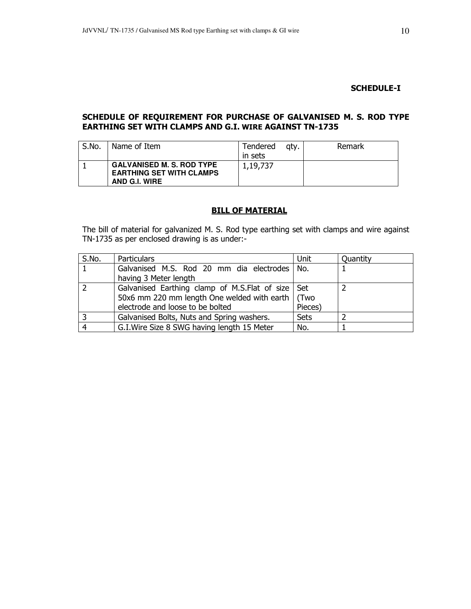#### SCHEDULE-I

#### SCHEDULE OF REQUIREMENT FOR PURCHASE OF GALVANISED M. S. ROD TYPE EARTHING SET WITH CLAMPS AND G.I. WIRE AGAINST TN-1735

| S.No. | Name of Item                                                                         | Tendered | atv. | Remark |
|-------|--------------------------------------------------------------------------------------|----------|------|--------|
|       |                                                                                      | in sets  |      |        |
|       | <b>GALVANISED M. S. ROD TYPE</b><br><b>EARTHING SET WITH CLAMPS</b><br>AND G.I. WIRE | 1,19,737 |      |        |

# **BILL OF MATERIAL**

The bill of material for galvanized M. S. Rod type earthing set with clamps and wire against TN-1735 as per enclosed drawing is as under:-

| S.No.          | <b>Particulars</b>                                  | Unit        | Quantity |
|----------------|-----------------------------------------------------|-------------|----------|
|                | Galvanised M.S. Rod 20 mm dia electrodes            | No.         |          |
|                | having 3 Meter length                               |             |          |
| 2              | Galvanised Earthing clamp of M.S.Flat of size   Set |             |          |
|                | 50x6 mm 220 mm length One welded with earth   (Two  |             |          |
|                | electrode and loose to be bolted                    | Pieces)     |          |
| 3              | Galvanised Bolts, Nuts and Spring washers.          | <b>Sets</b> |          |
| $\overline{4}$ | G.I. Wire Size 8 SWG having length 15 Meter         | No.         |          |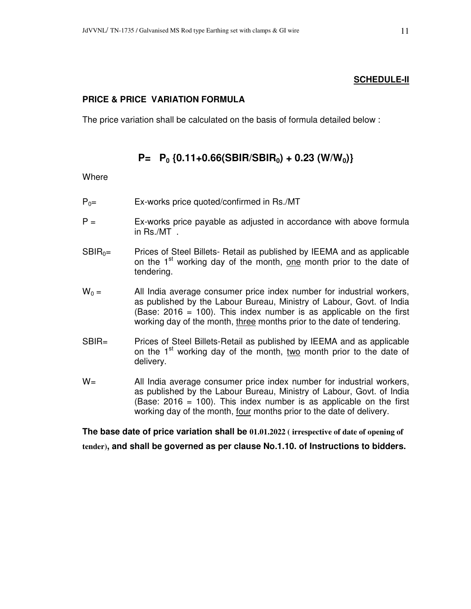# **PRICE & PRICE VARIATION FORMULA**

The price variation shall be calculated on the basis of formula detailed below :

# $P = P_0$  {0.11+0.66(SBIR/SBIR<sub>0</sub>) + 0.23 (W/W<sub>0</sub>)}

**Where** 

- $P_{0}=$  Ex-works price quoted/confirmed in Rs./MT
- $P =$  Ex-works price payable as adjusted in accordance with above formula in Rs./MT .
- $SBIR<sub>0</sub>=$  Prices of Steel Billets- Retail as published by IEEMA and as applicable on the 1<sup>st</sup> working day of the month, one month prior to the date of tendering.
- $W_0 =$  All India average consumer price index number for industrial workers, as published by the Labour Bureau, Ministry of Labour, Govt. of India (Base:  $2016 = 100$ ). This index number is as applicable on the first working day of the month, three months prior to the date of tendering.
- SBIR= Prices of Steel Billets-Retail as published by IEEMA and as applicable on the  $1<sup>st</sup>$  working day of the month, two month prior to the date of delivery.
- W= All India average consumer price index number for industrial workers, as published by the Labour Bureau, Ministry of Labour, Govt. of India (Base:  $2016 = 100$ ). This index number is as applicable on the first working day of the month, four months prior to the date of delivery.

**The base date of price variation shall be 01.01.2022 ( irrespective of date of opening of tender), and shall be governed as per clause No.1.10. of Instructions to bidders.**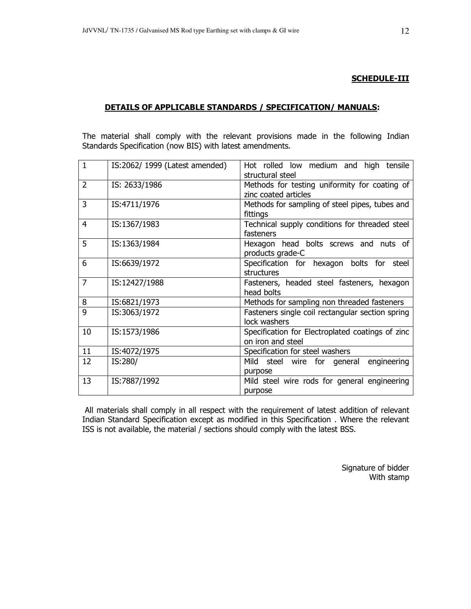#### SCHEDULE-III

#### DETAILS OF APPLICABLE STANDARDS / SPECIFICATION/ MANUALS:

The material shall comply with the relevant provisions made in the following Indian Standards Specification (now BIS) with latest amendments.

| $\mathbf{1}$   | IS:2062/1999 (Latest amended) | Hot rolled low medium and high tensile<br>structural steel            |
|----------------|-------------------------------|-----------------------------------------------------------------------|
| 2              | IS: 2633/1986                 | Methods for testing uniformity for coating of<br>zinc coated articles |
| $\overline{3}$ | IS:4711/1976                  | Methods for sampling of steel pipes, tubes and<br>fittings            |
| $\overline{4}$ | IS:1367/1983                  | Technical supply conditions for threaded steel<br>fasteners           |
| 5              | IS:1363/1984                  | Hexagon head bolts screws and nuts of<br>products grade-C             |
| 6              | IS:6639/1972                  | Specification for hexagon bolts for steel<br>structures               |
| $\overline{7}$ | IS:12427/1988                 | Fasteners, headed steel fasteners, hexagon<br>head bolts              |
| 8              | IS:6821/1973                  | Methods for sampling non threaded fasteners                           |
| 9              | IS:3063/1972                  | Fasteners single coil rectangular section spring<br>lock washers      |
| 10             | IS:1573/1986                  | Specification for Electroplated coatings of zinc<br>on iron and steel |
| 11             | IS:4072/1975                  | Specification for steel washers                                       |
| 12             | IS:280/                       | Mild steel wire for general engineering<br>purpose                    |
| 13             | IS:7887/1992                  | Mild steel wire rods for general engineering<br>purpose               |

 All materials shall comply in all respect with the requirement of latest addition of relevant Indian Standard Specification except as modified in this Specification . Where the relevant ISS is not available, the material / sections should comply with the latest BSS.

> Signature of bidder With stamp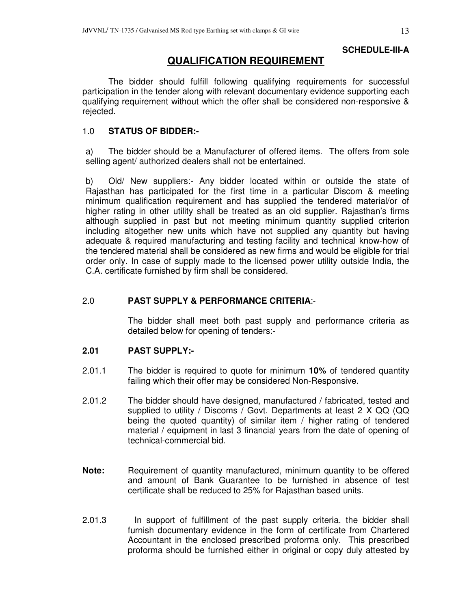# **SCHEDULE-III-A**

# **QUALIFICATION REQUIREMENT**

The bidder should fulfill following qualifying requirements for successful participation in the tender along with relevant documentary evidence supporting each qualifying requirement without which the offer shall be considered non-responsive & rejected.

# 1.0 **STATUS OF BIDDER:-**

a) The bidder should be a Manufacturer of offered items. The offers from sole selling agent/ authorized dealers shall not be entertained.

b) Old/ New suppliers:- Any bidder located within or outside the state of Rajasthan has participated for the first time in a particular Discom & meeting minimum qualification requirement and has supplied the tendered material/or of higher rating in other utility shall be treated as an old supplier. Rajasthan's firms although supplied in past but not meeting minimum quantity supplied criterion including altogether new units which have not supplied any quantity but having adequate & required manufacturing and testing facility and technical know-how of the tendered material shall be considered as new firms and would be eligible for trial order only. In case of supply made to the licensed power utility outside India, the C.A. certificate furnished by firm shall be considered.

# 2.0 **PAST SUPPLY & PERFORMANCE CRITERIA**:-

 The bidder shall meet both past supply and performance criteria as detailed below for opening of tenders:-

# **2.01 PAST SUPPLY:-**

- 2.01.1 The bidder is required to quote for minimum **10%** of tendered quantity failing which their offer may be considered Non-Responsive.
- 2.01.2 The bidder should have designed, manufactured / fabricated, tested and supplied to utility / Discoms / Govt. Departments at least 2 X QQ (QQ being the quoted quantity) of similar item / higher rating of tendered material / equipment in last 3 financial years from the date of opening of technical-commercial bid.
- **Note:** Requirement of quantity manufactured, minimum quantity to be offered and amount of Bank Guarantee to be furnished in absence of test certificate shall be reduced to 25% for Rajasthan based units.
- 2.01.3 In support of fulfillment of the past supply criteria, the bidder shall furnish documentary evidence in the form of certificate from Chartered Accountant in the enclosed prescribed proforma only. This prescribed proforma should be furnished either in original or copy duly attested by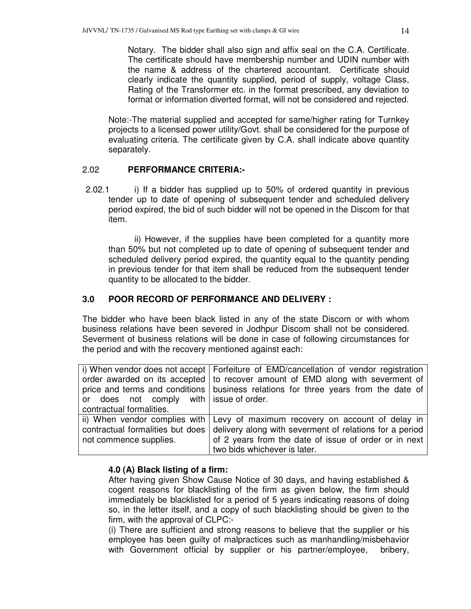Notary. The bidder shall also sign and affix seal on the C.A. Certificate. The certificate should have membership number and UDIN number with the name & address of the chartered accountant. Certificate should clearly indicate the quantity supplied, period of supply, voltage Class, Rating of the Transformer etc. in the format prescribed, any deviation to format or information diverted format, will not be considered and rejected.

Note:-The material supplied and accepted for same/higher rating for Turnkey projects to a licensed power utility/Govt. shall be considered for the purpose of evaluating criteria. The certificate given by C.A. shall indicate above quantity separately.

# 2.02 **PERFORMANCE CRITERIA:-**

2.02.1 i) If a bidder has supplied up to 50% of ordered quantity in previous tender up to date of opening of subsequent tender and scheduled delivery period expired, the bid of such bidder will not be opened in the Discom for that item.

ii) However, if the supplies have been completed for a quantity more than 50% but not completed up to date of opening of subsequent tender and scheduled delivery period expired, the quantity equal to the quantity pending in previous tender for that item shall be reduced from the subsequent tender quantity to be allocated to the bidder.

# **3.0 POOR RECORD OF PERFORMANCE AND DELIVERY :**

The bidder who have been black listed in any of the state Discom or with whom business relations have been severed in Jodhpur Discom shall not be considered. Severment of business relations will be done in case of following circumstances for the period and with the recovery mentioned against each:

|                                           | i) When vendor does not accept   Forfeiture of EMD/cancellation of vendor registration |
|-------------------------------------------|----------------------------------------------------------------------------------------|
|                                           | order awarded on its accepted to recover amount of EMD along with severment of         |
|                                           | price and terms and conditions   business relations for three years from the date of   |
| or does not comply with   issue of order. |                                                                                        |
| contractual formalities.                  |                                                                                        |
|                                           | ii) When vendor complies with Levy of maximum recovery on account of delay in          |
| contractual formalities but does          | delivery along with severment of relations for a period                                |
| not commence supplies.                    | of 2 years from the date of issue of order or in next                                  |
|                                           | two bids whichever is later.                                                           |

#### **4.0 (A) Black listing of a firm:**

After having given Show Cause Notice of 30 days, and having established & cogent reasons for blacklisting of the firm as given below, the firm should immediately be blacklisted for a period of 5 years indicating reasons of doing so, in the letter itself, and a copy of such blacklisting should be given to the firm, with the approval of CLPC:-

(i) There are sufficient and strong reasons to believe that the supplier or his employee has been guilty of malpractices such as manhandling/misbehavior with Government official by supplier or his partner/employee, bribery,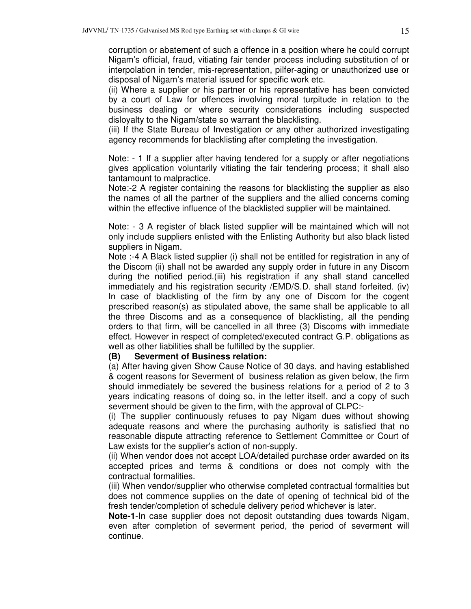corruption or abatement of such a offence in a position where he could corrupt Nigam's official, fraud, vitiating fair tender process including substitution of or interpolation in tender, mis-representation, pilfer-aging or unauthorized use or disposal of Nigam's material issued for specific work etc.

(ii) Where a supplier or his partner or his representative has been convicted by a court of Law for offences involving moral turpitude in relation to the business dealing or where security considerations including suspected disloyalty to the Nigam/state so warrant the blacklisting.

(iii) If the State Bureau of Investigation or any other authorized investigating agency recommends for blacklisting after completing the investigation.

Note: - 1 If a supplier after having tendered for a supply or after negotiations gives application voluntarily vitiating the fair tendering process; it shall also tantamount to malpractice.

Note:-2 A register containing the reasons for blacklisting the supplier as also the names of all the partner of the suppliers and the allied concerns coming within the effective influence of the blacklisted supplier will be maintained.

Note: - 3 A register of black listed supplier will be maintained which will not only include suppliers enlisted with the Enlisting Authority but also black listed suppliers in Nigam.

Note :-4 A Black listed supplier (i) shall not be entitled for registration in any of the Discom (ii) shall not be awarded any supply order in future in any Discom during the notified period.(iii) his registration if any shall stand cancelled immediately and his registration security /EMD/S.D. shall stand forfeited. (iv) In case of blacklisting of the firm by any one of Discom for the cogent prescribed reason(s) as stipulated above, the same shall be applicable to all the three Discoms and as a consequence of blacklisting, all the pending orders to that firm, will be cancelled in all three (3) Discoms with immediate effect. However in respect of completed/executed contract G.P. obligations as well as other liabilities shall be fulfilled by the supplier.

#### **(B) Severment of Business relation:**

(a) After having given Show Cause Notice of 30 days, and having established & cogent reasons for Severment of business relation as given below, the firm should immediately be severed the business relations for a period of 2 to 3 years indicating reasons of doing so, in the letter itself, and a copy of such severment should be given to the firm, with the approval of CLPC:-

(i) The supplier continuously refuses to pay Nigam dues without showing adequate reasons and where the purchasing authority is satisfied that no reasonable dispute attracting reference to Settlement Committee or Court of Law exists for the supplier's action of non-supply.

(ii) When vendor does not accept LOA/detailed purchase order awarded on its accepted prices and terms & conditions or does not comply with the contractual formalities.

(iii) When vendor/supplier who otherwise completed contractual formalities but does not commence supplies on the date of opening of technical bid of the fresh tender/completion of schedule delivery period whichever is later.

**Note-1**-In case supplier does not deposit outstanding dues towards Nigam, even after completion of severment period, the period of severment will continue.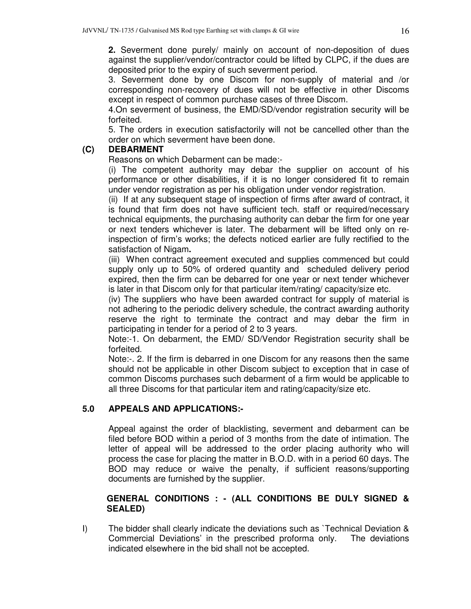**2.** Severment done purely/ mainly on account of non-deposition of dues against the supplier/vendor/contractor could be lifted by CLPC, if the dues are deposited prior to the expiry of such severment period.

3. Severment done by one Discom for non-supply of material and /or corresponding non-recovery of dues will not be effective in other Discoms except in respect of common purchase cases of three Discom.

4.On severment of business, the EMD/SD/vendor registration security will be forfeited.

5. The orders in execution satisfactorily will not be cancelled other than the order on which severment have been done.

# **(C) DEBARMENT**

Reasons on which Debarment can be made:-

(i) The competent authority may debar the supplier on account of his performance or other disabilities, if it is no longer considered fit to remain under vendor registration as per his obligation under vendor registration.

(ii) If at any subsequent stage of inspection of firms after award of contract, it is found that firm does not have sufficient tech. staff or required/necessary technical equipments, the purchasing authority can debar the firm for one year or next tenders whichever is later. The debarment will be lifted only on reinspection of firm's works; the defects noticed earlier are fully rectified to the satisfaction of Nigam**.** 

(iii) When contract agreement executed and supplies commenced but could supply only up to 50% of ordered quantity and scheduled delivery period expired, then the firm can be debarred for one year or next tender whichever is later in that Discom only for that particular item/rating/ capacity/size etc.

(iv) The suppliers who have been awarded contract for supply of material is not adhering to the periodic delivery schedule, the contract awarding authority reserve the right to terminate the contract and may debar the firm in participating in tender for a period of 2 to 3 years.

Note:-1. On debarment, the EMD/ SD/Vendor Registration security shall be forfeited.

Note:-. 2. If the firm is debarred in one Discom for any reasons then the same should not be applicable in other Discom subject to exception that in case of common Discoms purchases such debarment of a firm would be applicable to all three Discoms for that particular item and rating/capacity/size etc.

# **5.0 APPEALS AND APPLICATIONS:-**

Appeal against the order of blacklisting, severment and debarment can be filed before BOD within a period of 3 months from the date of intimation. The letter of appeal will be addressed to the order placing authority who will process the case for placing the matter in B.O.D. with in a period 60 days. The BOD may reduce or waive the penalty, if sufficient reasons/supporting documents are furnished by the supplier.

# **GENERAL CONDITIONS : - (ALL CONDITIONS BE DULY SIGNED & SEALED)**

I) The bidder shall clearly indicate the deviations such as `Technical Deviation & Commercial Deviations' in the prescribed proforma only. The deviations indicated elsewhere in the bid shall not be accepted.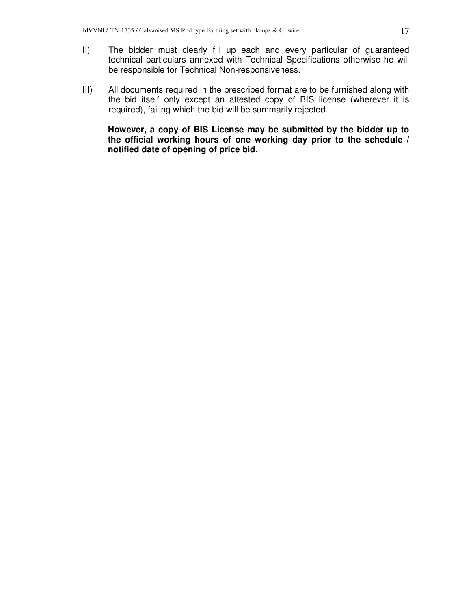- II) The bidder must clearly fill up each and every particular of guaranteed technical particulars annexed with Technical Specifications otherwise he will be responsible for Technical Non-responsiveness.
- III) All documents required in the prescribed format are to be furnished along with the bid itself only except an attested copy of BIS license (wherever it is required), failing which the bid will be summarily rejected.

**However, a copy of BIS License may be submitted by the bidder up to the official working hours of one working day prior to the schedule / notified date of opening of price bid.**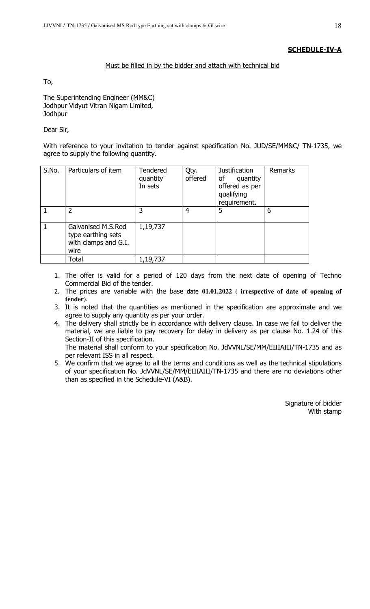# SCHEDULE-IV-A

# Must be filled in by the bidder and attach with technical bid

To,

The Superintending Engineer (MM&C) Jodhpur Vidyut Vitran Nigam Limited, **Jodhpur** 

Dear Sir,

With reference to your invitation to tender against specification No. JUD/SE/MM&C/ TN-1735, we agree to supply the following quantity.

| S.No.        | Particulars of item                                                      | Tendered<br>quantity<br>In sets | Qty.<br>offered | <b>Justification</b><br>quantity<br>of<br>offered as per<br>qualifying<br>requirement. | Remarks |
|--------------|--------------------------------------------------------------------------|---------------------------------|-----------------|----------------------------------------------------------------------------------------|---------|
|              | $\overline{2}$                                                           | 3                               | 4               | 5                                                                                      | 6       |
| $\mathbf{1}$ | Galvanised M.S.Rod<br>type earthing sets<br>with clamps and G.I.<br>wire | 1,19,737                        |                 |                                                                                        |         |
|              | Total                                                                    | 1,19,737                        |                 |                                                                                        |         |

- 1. The offer is valid for a period of 120 days from the next date of opening of Techno Commercial Bid of the tender.
- 2. The prices are variable with the base date **01.01.2022 ( irrespective of date of opening of tender)**.
- 3. It is noted that the quantities as mentioned in the specification are approximate and we agree to supply any quantity as per your order.
- 4. The delivery shall strictly be in accordance with delivery clause. In case we fail to deliver the material, we are liable to pay recovery for delay in delivery as per clause No. 1.24 of this Section-II of this specification.

The material shall conform to your specification No. JdVVNL/SE/MM/EIIIAIII/TN-1735 and as per relevant ISS in all respect.

5. We confirm that we agree to all the terms and conditions as well as the technical stipulations of your specification No. JdVVNL/SE/MM/EIIIAIII/TN-1735 and there are no deviations other than as specified in the Schedule-VI (A&B).

> Signature of bidder With stamp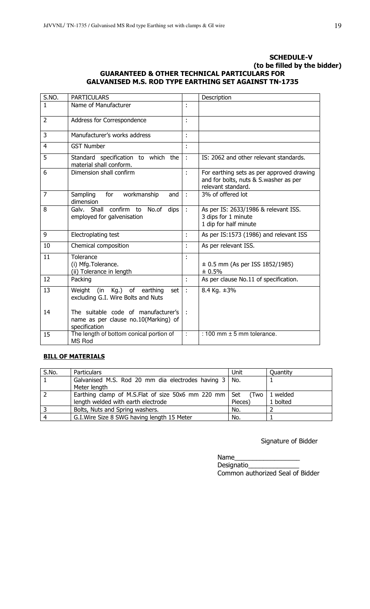# SCHEDULE-V (to be filled by the bidder) GUARANTEED & OTHER TECHNICAL PARTICULARS FOR GALVANISED M.S. ROD TYPE EARTHING SET AGAINST TN-1735

| S.NO.          | <b>PARTICULARS</b>                                                                           |    | Description                                                                                              |
|----------------|----------------------------------------------------------------------------------------------|----|----------------------------------------------------------------------------------------------------------|
| 1              | Name of Manufacturer                                                                         | ÷  |                                                                                                          |
| $\overline{2}$ | Address for Correspondence                                                                   | ÷  |                                                                                                          |
| 3              | Manufacturer's works address                                                                 | t  |                                                                                                          |
| 4              | <b>GST Number</b>                                                                            | ÷  |                                                                                                          |
| 5              | Standard specification to which the<br>material shall conform.                               | ÷  | IS: 2062 and other relevant standards.                                                                   |
| 6              | Dimension shall confirm                                                                      | t. | For earthing sets as per approved drawing<br>and for bolts, nuts & S.washer as per<br>relevant standard. |
| 7              | for<br>workmanship<br>Sampling<br>and<br>dimension                                           | ÷  | 3% of offered lot                                                                                        |
| 8              | Galv. Shall confirm to<br>No.of dips<br>employed for galvenisation                           | ÷  | As per IS: 2633/1986 & relevant ISS.<br>3 dips for 1 minute<br>1 dip for half minute                     |
| 9              | Electroplating test                                                                          | t, | As per IS:1573 (1986) and relevant ISS                                                                   |
| 10             | Chemical composition                                                                         | t, | As per relevant ISS.                                                                                     |
| 11             | Tolerance<br>(i) Mfg. Tolerance.<br>(ii) Tolerance in length                                 |    | $\pm$ 0.5 mm (As per ISS 1852/1985)<br>± 0.5%                                                            |
| 12             | Packing                                                                                      | ÷  | As per clause No.11 of specification.                                                                    |
| 13             | (in<br>Weight<br>Kg.)<br>of earthing<br>set  <br>excluding G.I. Wire Bolts and Nuts          | ÷  | 8.4 Kg. ±3%                                                                                              |
| 14             | The suitable code of manufacturer's<br>name as per clause no.10(Marking) of<br>specification | ÷  |                                                                                                          |
| 15             | The length of bottom conical portion of<br><b>MS Rod</b>                                     | ÷  | : 100 mm $\pm$ 5 mm tolerance.                                                                           |

# **BILL OF MATERIALS**

| S.No. | <b>Particulars</b>                                            | Unit    | Quantity |
|-------|---------------------------------------------------------------|---------|----------|
|       | Galvanised M.S. Rod 20 mm dia electrodes having 3   No.       |         |          |
|       | Meter length                                                  |         |          |
|       | Earthing clamp of M.S.Flat of size 50x6 mm 220 mm $\vert$ Set | (Two l  | 1 welded |
|       | length welded with earth electrode                            | Pieces) | 1 bolted |
|       | Bolts, Nuts and Spring washers.                               | No.     |          |
|       | G.I. Wire Size 8 SWG having length 15 Meter                   | No.     |          |

Signature of Bidder

Name\_\_\_\_\_\_\_\_\_\_\_\_\_\_\_\_\_\_ Designatio\_ Common authorized Seal of Bidder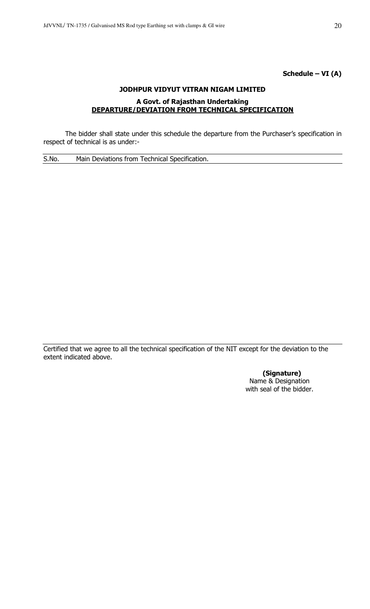# Schedule – VI (A)

# JODHPUR VIDYUT VITRAN NIGAM LIMITED A Govt. of Rajasthan Undertaking DEPARTURE/DEVIATION FROM TECHNICAL SPECIFICATION

 The bidder shall state under this schedule the departure from the Purchaser's specification in respect of technical is as under:-

S.No. Main Deviations from Technical Specification.

Certified that we agree to all the technical specification of the NIT except for the deviation to the extent indicated above.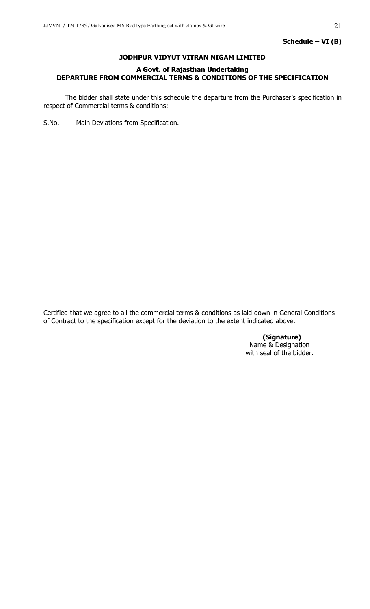# JODHPUR VIDYUT VITRAN NIGAM LIMITED

# A Govt. of Rajasthan Undertaking DEPARTURE FROM COMMERCIAL TERMS & CONDITIONS OF THE SPECIFICATION

 The bidder shall state under this schedule the departure from the Purchaser's specification in respect of Commercial terms & conditions:-

S.No. Main Deviations from Specification.

Certified that we agree to all the commercial terms & conditions as laid down in General Conditions of Contract to the specification except for the deviation to the extent indicated above.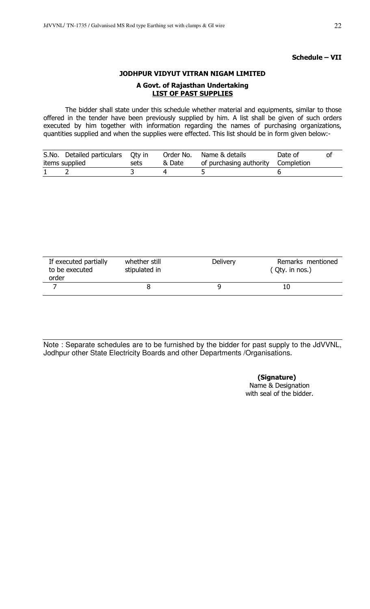# Schedule – VII

# JODHPUR VIDYUT VITRAN NIGAM LIMITED

# A Govt. of Rajasthan Undertaking LIST OF PAST SUPPLIES

 The bidder shall state under this schedule whether material and equipments, similar to those offered in the tender have been previously supplied by him. A list shall be given of such orders executed by him together with information regarding the names of purchasing organizations, quantities supplied and when the supplies were effected. This list should be in form given below:-

| S.No. Detailed particulars Oty in |      | Order No. | Name & details                     | Date of |  |
|-----------------------------------|------|-----------|------------------------------------|---------|--|
| items supplied                    | sets | & Date    | of purchasing authority Completion |         |  |
|                                   |      |           |                                    |         |  |

| If executed partially<br>to be executed<br>order | whether still<br>stipulated in | <b>Delivery</b> | Remarks mentioned<br>$(Qty.$ in nos.) |
|--------------------------------------------------|--------------------------------|-----------------|---------------------------------------|
|                                                  |                                |                 |                                       |

Note : Separate schedules are to be furnished by the bidder for past supply to the JdVVNL, Jodhpur other State Electricity Boards and other Departments /Organisations.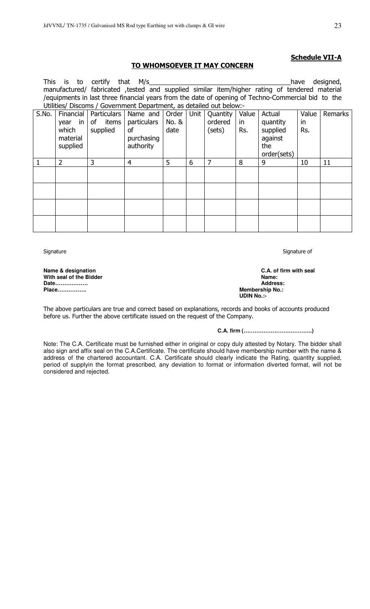# Schedule VII-A

# TO WHOMSOEVER IT MAY CONCERN

|       |                                                                                                    | This is to certify that M/s |                                                                     |       |   |          |       |                                                                                               | have  | designed, |
|-------|----------------------------------------------------------------------------------------------------|-----------------------------|---------------------------------------------------------------------|-------|---|----------|-------|-----------------------------------------------------------------------------------------------|-------|-----------|
|       |                                                                                                    |                             |                                                                     |       |   |          |       | manufactured/ fabricated ,tested and supplied similar item/higher rating of tendered material |       |           |
|       | /equipments in last three financial years from the date of opening of Techno-Commercial bid to the |                             |                                                                     |       |   |          |       |                                                                                               |       |           |
|       |                                                                                                    |                             | Utilities/ Discoms / Government Department, as detailed out below:- |       |   |          |       |                                                                                               |       |           |
| S.No. |                                                                                                    |                             | Financial   Particulars   Name and   Order   Unit                   |       |   | Quantity | Value | Actual                                                                                        | Value | Remarks   |
|       | $year$ in                                                                                          | of items                    | particulars                                                         | No. 8 |   | ordered  | in    | quantity                                                                                      | in    |           |
|       | which                                                                                              | supplied                    | <b>of</b>                                                           | date  |   | (sets)   | Rs.   | supplied                                                                                      | Rs.   |           |
|       | material                                                                                           |                             | purchasing                                                          |       |   |          |       | against                                                                                       |       |           |
|       | supplied                                                                                           |                             | authority                                                           |       |   |          |       | the                                                                                           |       |           |
|       |                                                                                                    |                             |                                                                     |       |   |          |       | order(sets)                                                                                   |       |           |
|       | 2                                                                                                  | 3                           | $\overline{4}$                                                      | 5     | 6 | 7        | 8     | 9                                                                                             | 10    | 11        |
|       |                                                                                                    |                             |                                                                     |       |   |          |       |                                                                                               |       |           |
|       |                                                                                                    |                             |                                                                     |       |   |          |       |                                                                                               |       |           |
|       |                                                                                                    |                             |                                                                     |       |   |          |       |                                                                                               |       |           |
|       |                                                                                                    |                             |                                                                     |       |   |          |       |                                                                                               |       |           |
|       |                                                                                                    |                             |                                                                     |       |   |          |       |                                                                                               |       |           |
|       |                                                                                                    |                             |                                                                     |       |   |          |       |                                                                                               |       |           |
|       |                                                                                                    |                             |                                                                     |       |   |          |       |                                                                                               |       |           |
|       |                                                                                                    |                             |                                                                     |       |   |          |       |                                                                                               |       |           |

Signature Signature of the Signature of Signature of Signature of Signature of Signature of

**Mith seal of the Bidder Name:**  $\blacksquare$ **Date……………… Address:** 

**Name & designation C.A. of firm with seal Membership No.: UDIN No.:-** 

The above particulars are true and correct based on explanations, records and books of accounts produced before us. Further the above certificate issued on the request of the Company.

**C.A. firm (………………………………..)** 

Note: The C.A. Certificate must be furnished either in original or copy duly attested by Notary. The bidder shall also sign and affix seal on the C.A.Certificate. The certificate should have membership number with the name & address of the chartered accountant. C.A. Certificate should clearly indicate the Rating, quantity supplied, period of supplyin the format prescribed, any deviation to format or information diverted format, will not be considered and rejected.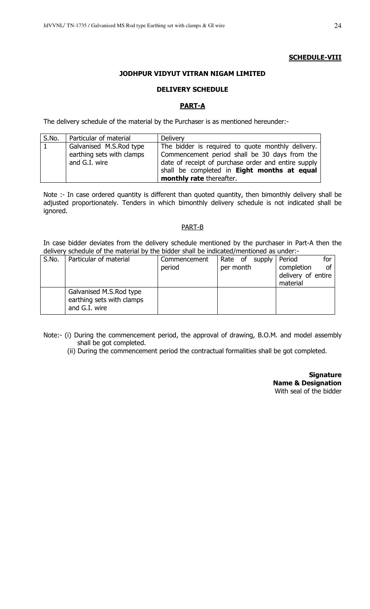# **SCHEDULE-VIII**

# JODHPUR VIDYUT VITRAN NIGAM LIMITED

# DELIVERY SCHEDULE

# PART-A

The delivery schedule of the material by the Purchaser is as mentioned hereunder:-

| S.No. | Particular of material    | Delivery                                            |
|-------|---------------------------|-----------------------------------------------------|
| 1     | Galvanised M.S.Rod type   | The bidder is required to quote monthly delivery.   |
|       | earthing sets with clamps | Commencement period shall be 30 days from the       |
|       | and G.I. wire             | date of receipt of purchase order and entire supply |
|       |                           | shall be completed in Eight months at equal         |
|       |                           | monthly rate thereafter.                            |

Note :- In case ordered quantity is different than quoted quantity, then bimonthly delivery shall be adjusted proportionately. Tenders in which bimonthly delivery schedule is not indicated shall be ignored.

# PART-B

In case bidder deviates from the delivery schedule mentioned by the purchaser in Part-A then the delivery schedule of the material by the bidder shall be indicated/mentioned as under:-

| S.No. | Particular of material                                                | Commencement | Rate of supply | Period<br>for      |
|-------|-----------------------------------------------------------------------|--------------|----------------|--------------------|
|       |                                                                       | period       | per month      | completion<br>οf   |
|       |                                                                       |              |                | delivery of entire |
|       |                                                                       |              |                | material           |
|       | Galvanised M.S.Rod type<br>earthing sets with clamps<br>and G.I. wire |              |                |                    |

Note:- (i) During the commencement period, the approval of drawing, B.O.M. and model assembly shall be got completed.

(ii) During the commencement period the contractual formalities shall be got completed.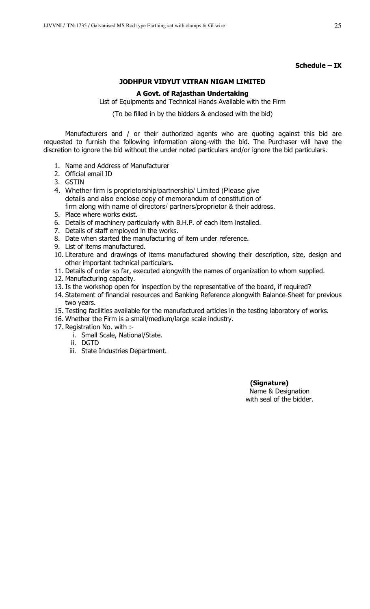# Schedule – IX

# JODHPUR VIDYUT VITRAN NIGAM LIMITED

# A Govt. of Rajasthan Undertaking

List of Equipments and Technical Hands Available with the Firm

(To be filled in by the bidders & enclosed with the bid)

 Manufacturers and / or their authorized agents who are quoting against this bid are requested to furnish the following information along-with the bid. The Purchaser will have the discretion to ignore the bid without the under noted particulars and/or ignore the bid particulars.

- 1. Name and Address of Manufacturer
- 2. Official email ID
- 3. GSTIN
- 4. Whether firm is proprietorship/partnership/ Limited (Please give details and also enclose copy of memorandum of constitution of firm along with name of directors/ partners/proprietor & their address.
- 5. Place where works exist.
- 6. Details of machinery particularly with B.H.P. of each item installed.
- 7. Details of staff employed in the works.
- 8. Date when started the manufacturing of item under reference.
- 9. List of items manufactured.
- 10. Literature and drawings of items manufactured showing their description, size, design and other important technical particulars.
- 11. Details of order so far, executed alongwith the names of organization to whom supplied.
- 12. Manufacturing capacity.
- 13. Is the workshop open for inspection by the representative of the board, if required?
- 14. Statement of financial resources and Banking Reference alongwith Balance-Sheet for previous two years.
- 15. Testing facilities available for the manufactured articles in the testing laboratory of works.
- 16. Whether the Firm is a small/medium/large scale industry.
- 17. Registration No. with :
	- i. Small Scale, National/State.
	- ii. DGTD
	- iii. State Industries Department.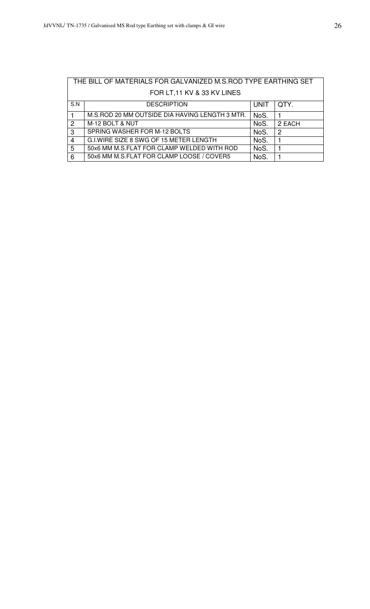|                | THE BILL OF MATERIALS FOR GALVANIZED M.S.ROD TYPE EARTHING SET |             |        |  |  |
|----------------|----------------------------------------------------------------|-------------|--------|--|--|
|                | FOR LT, 11 KV & 33 KV LINES                                    |             |        |  |  |
| S.N            | <b>DESCRIPTION</b>                                             | <b>UNIT</b> | QTY.   |  |  |
|                | M.S.ROD 20 MM OUTSIDE DIA HAVING LENGTH 3 MTR.                 | NoS.        |        |  |  |
| $\overline{2}$ | M-12 BOLT & NUT                                                | NoS.        | 2 EACH |  |  |
| 3              | SPRING WASHER FOR M-12 BOLTS                                   | NoS.        | 2      |  |  |
| 4              | G.I.WIRE SIZE 8 SWG OF 15 METER LENGTH                         | NoS.        |        |  |  |
| 5              | 50x6 MM M.S.FLAT FOR CLAMP WELDED WITH ROD                     | NoS.        |        |  |  |
| 6              | 50x6 MM M.S.FLAT FOR CLAMP LOOSE / COVER5                      | NoS.        |        |  |  |

# THE BILL OF MATERIALS FOR GALVANIZED M.S.ROD TYPE EARTHING SET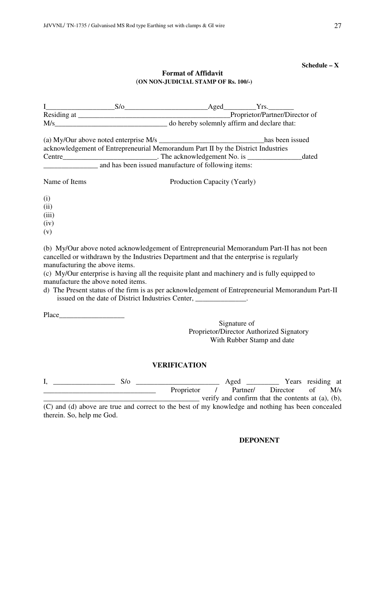# **Schedule – X**

# **Format of Affidavit**  (**ON NON-JUDICIAL STAMP OF Rs. 100/-)**

|                                | M/s do hereby solemnly affirm and declare that:                                                                                                                                       |                              |  |
|--------------------------------|---------------------------------------------------------------------------------------------------------------------------------------------------------------------------------------|------------------------------|--|
|                                |                                                                                                                                                                                       |                              |  |
|                                | acknowledgement of Entrepreneurial Memorandum Part II by the District Industries                                                                                                      |                              |  |
|                                |                                                                                                                                                                                       |                              |  |
|                                | and has been issued manufacture of following items:                                                                                                                                   |                              |  |
| Name of Items                  |                                                                                                                                                                                       | Production Capacity (Yearly) |  |
| (i)                            |                                                                                                                                                                                       |                              |  |
| (ii)                           |                                                                                                                                                                                       |                              |  |
| (iii)                          |                                                                                                                                                                                       |                              |  |
| (iv)                           |                                                                                                                                                                                       |                              |  |
| (v)                            |                                                                                                                                                                                       |                              |  |
| manufacturing the above items. | (b) My/Our above noted acknowledgement of Entrepreneurial Memorandum Part-II has not been<br>cancelled or withdrawn by the Industries Department and that the enterprise is regularly |                              |  |

(c) My/Our enterprise is having all the requisite plant and machinery and is fully equipped to manufacture the above noted items.

d) The Present status of the firm is as per acknowledgement of Entrepreneurial Memorandum Part-II issued on the date of District Industries Center,

Place\_\_\_\_\_\_\_\_\_\_\_\_\_\_\_\_\_\_

Signature of Proprietor/Director Authorized Signatory With Rubber Stamp and date

# **VERIFICATION**

I, \_\_\_\_\_\_\_\_\_\_\_\_\_\_\_\_\_ S/o \_\_\_\_\_\_\_\_\_\_\_\_\_\_\_\_\_\_\_\_\_\_\_ Aged \_\_\_\_\_\_\_\_\_ Years residing at \_\_\_\_\_\_\_\_\_\_\_\_\_\_\_\_\_\_\_\_\_\_\_\_\_\_\_\_\_\_\_ Proprietor / Partner/ Director of M/s \_\_\_\_\_\_\_\_\_\_\_\_\_\_\_\_\_\_\_\_\_\_\_\_\_\_\_\_\_\_\_\_\_\_\_\_\_\_\_\_\_\_\_ verify and confirm that the contents at (a), (b),

(C) and (d) above are true and correct to the best of my knowledge and nothing has been concealed therein. So, help me God.

# **DEPONENT**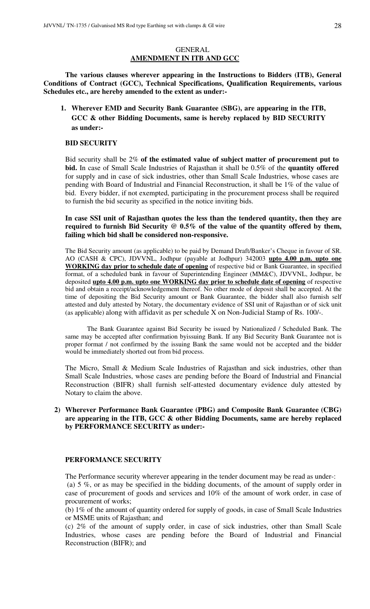# GENERAL **AMENDMENT IN ITB AND GCC**

**The various clauses wherever appearing in the Instructions to Bidders (ITB), General Conditions of Contract (GCC), Technical Specifications, Qualification Requirements, various Schedules etc., are hereby amended to the extent as under:-** 

**1. Wherever EMD and Security Bank Guarantee (SBG), are appearing in the ITB, GCC & other Bidding Documents, same is hereby replaced by BID SECURITY as under:-** 

# **BID SECURITY**

Bid security shall be 2% **of the estimated value of subject matter of procurement put to bid.** In case of Small Scale Industries of Rajasthan it shall be 0.5% of the **quantity offered** for supply and in case of sick industries, other than Small Scale Industries, whose cases are pending with Board of Industrial and Financial Reconstruction, it shall be 1% of the value of bid. Every bidder, if not exempted, participating in the procurement process shall be required to furnish the bid security as specified in the notice inviting bids.

**In case SSI unit of Rajasthan quotes the less than the tendered quantity, then they are required to furnish Bid Security @ 0.5% of the value of the quantity offered by them, failing which bid shall be considered non-responsive.** 

The Bid Security amount (as applicable) to be paid by Demand Draft/Banker's Cheque in favour of SR. AO (CASH & CPC), JDVVNL, Jodhpur (payable at Jodhpur) 342003 **upto 4.00 p.m. upto one WORKING day prior to schedule date of opening** of respective bid or Bank Guarantee, in specified format, of a scheduled bank in favour of Superintending Engineer (MM&C), JDVVNL, Jodhpur, be deposited **upto 4.00 p.m. upto one WORKING day prior to schedule date of opening** of respective bid and obtain a receipt/acknowledgement thereof. No other mode of deposit shall be accepted. At the time of depositing the Bid Security amount or Bank Guarantee, the bidder shall also furnish self attested and duly attested by Notary, the documentary evidence of SSI unit of Rajasthan or of sick unit (as applicable) along with affidavit as per schedule X on Non-Judicial Stamp of Rs. 100/-.

The Bank Guarantee against Bid Security be issued by Nationalized / Scheduled Bank. The same may be accepted after confirmation byissuing Bank. If any Bid Security Bank Guarantee not is proper format / not confirmed by the issuing Bank the same would not be accepted and the bidder would be immediately shorted out from bid process.

The Micro, Small & Medium Scale Industries of Rajasthan and sick industries, other than Small Scale Industries, whose cases are pending before the Board of Industrial and Financial Reconstruction (BIFR) shall furnish self-attested documentary evidence duly attested by Notary to claim the above.

# **2) Wherever Performance Bank Guarantee (PBG) and Composite Bank Guarantee (CBG) are appearing in the ITB, GCC & other Bidding Documents, same are hereby replaced by PERFORMANCE SECURITY as under:-**

# **PERFORMANCE SECURITY**

The Performance security wherever appearing in the tender document may be read as under-: (a) 5 %, or as may be specified in the bidding documents, of the amount of supply order in case of procurement of goods and services and 10% of the amount of work order, in case of procurement of works;

(b) 1% of the amount of quantity ordered for supply of goods, in case of Small Scale Industries or MSME units of Rajasthan; and

(c) 2% of the amount of supply order, in case of sick industries, other than Small Scale Industries, whose cases are pending before the Board of Industrial and Financial Reconstruction (BIFR); and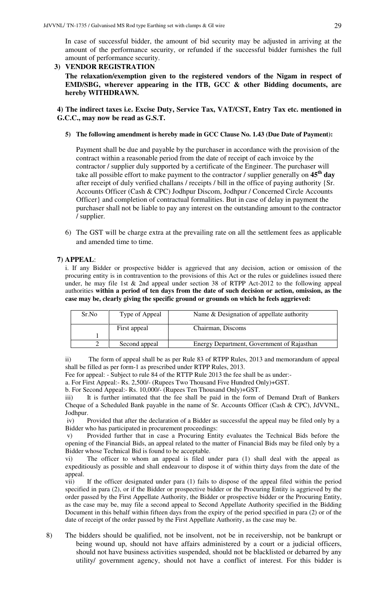In case of successful bidder, the amount of bid security may be adjusted in arriving at the amount of the performance security, or refunded if the successful bidder furnishes the full amount of performance security.

# **3) VENDOR REGISTRATION**

**The relaxation/exemption given to the registered vendors of the Nigam in respect of EMD/SBG, wherever appearing in the ITB, GCC & other Bidding documents, are hereby WITHDRAWN.** 

**4) The indirect taxes i.e. Excise Duty, Service Tax, VAT/CST, Entry Tax etc. mentioned in G.C.C., may now be read as G.S.T.** 

# **5) The following amendment is hereby made in GCC Clause No. 1.43 (Due Date of Payment):**

Payment shall be due and payable by the purchaser in accordance with the provision of the contract within a reasonable period from the date of receipt of each invoice by the contractor / supplier duly supported by a certificate of the Engineer. The purchaser will take all possible effort to make payment to the contractor / supplier generally on **45th day** after receipt of duly verified challans / receipts / bill in the office of paying authority {Sr. Accounts Officer (Cash & CPC) Jodhpur Discom, Jodhpur / Concerned Circle Accounts Officer} and completion of contractual formalities. But in case of delay in payment the purchaser shall not be liable to pay any interest on the outstanding amount to the contractor / supplier.

6) The GST will be charge extra at the prevailing rate on all the settlement fees as applicable and amended time to time.

# **7) APPEAL**:

i. If any Bidder or prospective bidder is aggrieved that any decision, action or omission of the procuring entity is in contravention to the provisions of this Act or the rules or guidelines issued there under, he may file 1st & 2nd appeal under section 38 of RTPP Act-2012 to the following appeal authorities **within a period of ten days from the date of such decision or action, omission, as the case may be, clearly giving the specific ground or grounds on which he feels aggrieved:** 

| Sr.No | Type of Appeal | Name & Designation of appellate authority  |
|-------|----------------|--------------------------------------------|
|       | First appeal   | Chairman, Discoms                          |
|       |                |                                            |
|       | Second appeal  | Energy Department, Government of Rajasthan |

ii) The form of appeal shall be as per Rule 83 of RTPP Rules, 2013 and memorandum of appeal shall be filled as per form-1 as prescribed under RTPP Rules, 2013.

Fee for appeal: - Subject to rule 84 of the RTTP Rule 2013 the fee shall be as under:-

a. For First Appeal:- Rs. 2,500/- (Rupees Two Thousand Five Hundred Only)+GST.

b. For Second Appeal:- Rs. 10,000/- (Rupees Ten Thousand Only)+GST.

iii) It is further intimated that the fee shall be paid in the form of Demand Draft of Bankers Cheque of a Scheduled Bank payable in the name of Sr. Accounts Officer (Cash & CPC), JdVVNL, Jodhpur.

 iv) Provided that after the declaration of a Bidder as successful the appeal may be filed only by a Bidder who has participated in procurement proceedings:

 v) Provided further that in case a Procuring Entity evaluates the Technical Bids before the opening of the Financial Bids, an appeal related to the matter of Financial Bids may be filed only by a Bidder whose Technical Bid is found to be acceptable.

vi) The officer to whom an appeal is filed under para (1) shall deal with the appeal as expeditiously as possible and shall endeavour to dispose it of within thirty days from the date of the appeal.

vii) If the officer designated under para (1) fails to dispose of the appeal filed within the period specified in para (2), or if the Bidder or prospective bidder or the Procuring Entity is aggrieved by the order passed by the First Appellate Authority, the Bidder or prospective bidder or the Procuring Entity, as the case may be, may file a second appeal to Second Appellate Authority specified in the Bidding Document in this behalf within fifteen days from the expiry of the period specified in para (2) or of the date of receipt of the order passed by the First Appellate Authority, as the case may be.

8) The bidders should be qualified, not be insolvent, not be in receivership, not be bankrupt or being wound up, should not have affairs administered by a court or a judicial officers, should not have business activities suspended, should not be blacklisted or debarred by any utility/ government agency, should not have a conflict of interest. For this bidder is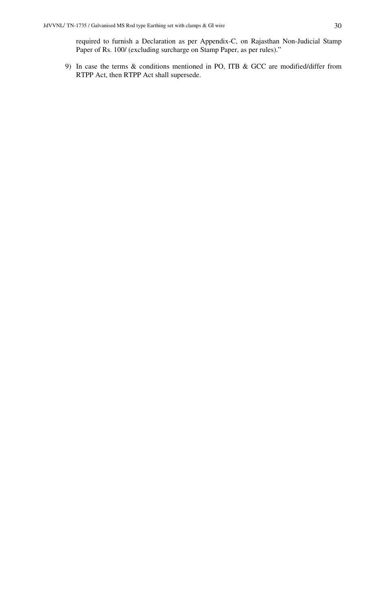required to furnish a Declaration as per Appendix-C, on Rajasthan Non-Judicial Stamp Paper of Rs. 100/ (excluding surcharge on Stamp Paper, as per rules)."

9) In case the terms & conditions mentioned in PO, ITB & GCC are modified/differ from RTPP Act, then RTPP Act shall supersede.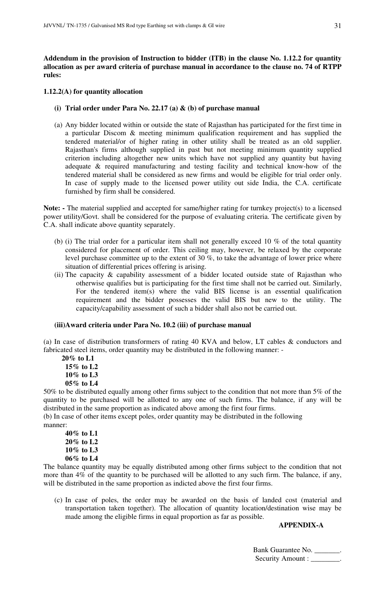**Addendum in the provision of Instruction to bidder (ITB) in the clause No. 1.12.2 for quantity allocation as per award criteria of purchase manual in accordance to the clause no. 74 of RTPP rules:** 

# **1.12.2(A) for quantity allocation**

- **(i) Trial order under Para No. 22.17 (a) & (b) of purchase manual**
- (a) Any bidder located within or outside the state of Rajasthan has participated for the first time in a particular Discom & meeting minimum qualification requirement and has supplied the tendered material/or of higher rating in other utility shall be treated as an old supplier. Rajasthan's firms although supplied in past but not meeting minimum quantity supplied criterion including altogether new units which have not supplied any quantity but having adequate & required manufacturing and testing facility and technical know-how of the tendered material shall be considered as new firms and would be eligible for trial order only. In case of supply made to the licensed power utility out side India, the C.A. certificate furnished by firm shall be considered.

**Note: -** The material supplied and accepted for same/higher rating for turnkey project(s) to a licensed power utility/Govt. shall be considered for the purpose of evaluating criteria. The certificate given by C.A. shall indicate above quantity separately.

- (b) (i) The trial order for a particular item shall not generally exceed 10  $\%$  of the total quantity considered for placement of order. This ceiling may, however, be relaxed by the corporate level purchase committee up to the extent of 30 %, to take the advantage of lower price where situation of differential prices offering is arising.
- (ii) The capacity  $\&$  capability assessment of a bidder located outside state of Rajasthan who otherwise qualifies but is participating for the first time shall not be carried out. Similarly, For the tendered item(s) where the valid BIS license is an essential qualification requirement and the bidder possesses the valid BIS but new to the utility. The capacity/capability assessment of such a bidder shall also not be carried out.

# **(iii)Award criteria under Para No. 10.2 (iii) of purchase manual**

(a) In case of distribution transformers of rating 40 KVA and below, LT cables & conductors and fabricated steel items, order quantity may be distributed in the following manner: -

 **20% to L1 15% to L2 10% to L3 05% to L4** 

50% to be distributed equally among other firms subject to the condition that not more than 5% of the quantity to be purchased will be allotted to any one of such firms. The balance, if any will be distributed in the same proportion as indicated above among the first four firms.

(b) In case of other items except poles, order quantity may be distributed in the following manner:

**40% to L1 20% to L2 10% to L3 06% to L4** 

The balance quantity may be equally distributed among other firms subject to the condition that not more than 4% of the quantity to be purchased will be allotted to any such firm. The balance, if any, will be distributed in the same proportion as indicted above the first four firms.

(c) In case of poles, the order may be awarded on the basis of landed cost (material and transportation taken together). The allocation of quantity location/destination wise may be made among the eligible firms in equal proportion as far as possible.

# **APPENDIX-A**

Bank Guarantee No. \_\_\_\_\_\_\_. Security Amount :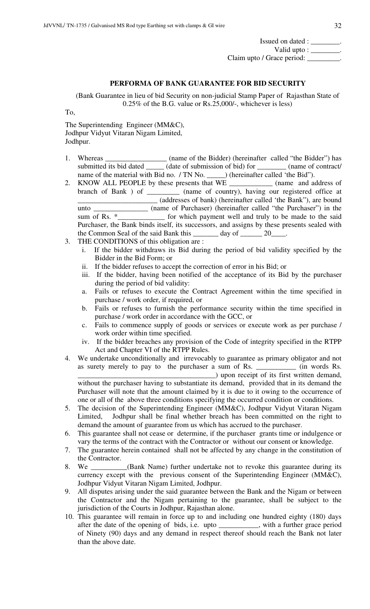| Issued on dated :                     |  |
|---------------------------------------|--|
| Valid upto : $\overline{\phantom{a}}$ |  |
| Claim upto / Grace period:            |  |

# **PERFORMA OF BANK GUARANTEE FOR BID SECURITY**

(Bank Guarantee in lieu of bid Security on non-judicial Stamp Paper of Rajasthan State of 0.25% of the B.G. value or Rs.25,000/-, whichever is less)

To,

The Superintending Engineer (MM&C), Jodhpur Vidyut Vitaran Nigam Limited, Jodhpur.

- 1. Whereas \_\_\_\_\_\_\_\_\_\_\_\_\_\_\_\_\_\_ (name of the Bidder) (hereinafter called "the Bidder") has submitted its bid dated \_\_\_\_\_\_\_ (date of submission of bid) for \_\_\_\_\_\_\_\_ (name of contract/
- name of the material with Bid no. / TN No. \_\_\_\_\_\_) (hereinafter called 'the Bid'').<br>KNOW ALL PEOPLE by these presents that WE \_ (name and address of 2. KNOW ALL PEOPLE by these presents that WE branch of Bank ) of \_\_\_\_\_\_\_\_\_ (name of country), having our registered office at \_\_\_\_\_\_\_\_\_\_\_\_\_\_\_\_\_\_\_\_\_\_ (addresses of bank) (hereinafter called 'the Bank"), are bound unto \_\_\_\_\_\_\_\_\_\_\_\_\_\_\_ (name of Purchaser) (hereinafter called "the Purchaser") in the sum of Rs. \*\_\_\_\_\_\_\_\_\_\_\_\_\_\_ for which payment well and truly to be made to the said Purchaser, the Bank binds itself, its successors, and assigns by these presents sealed with the Common Seal of the said Bank this day of 20
- 3. THE CONDITIONS of this obligation are :
	- i. If the bidder withdraws its Bid during the period of bid validity specified by the Bidder in the Bid Form; or
	- ii. If the bidder refuses to accept the correction of error in his Bid; or
	- iii. If the bidder, having been notified of the acceptance of its Bid by the purchaser during the period of bid validity:
	- a. Fails or refuses to execute the Contract Agreement within the time specified in purchase / work order, if required, or
	- b. Fails or refuses to furnish the performance security within the time specified in purchase / work order in accordance with the GCC, or
	- c. Fails to commence supply of goods or services or execute work as per purchase / work order within time specified.
	- iv. If the bidder breaches any provision of the Code of integrity specified in the RTPP Act and Chapter VI of the RTPP Rules.
- 4. We undertake unconditionally and irrevocably to guarantee as primary obligator and not as surety merely to pay to the purchaser a sum of Rs. \_\_\_\_\_\_\_\_\_\_\_ (in words Rs. \_\_\_\_\_\_\_\_\_\_\_\_\_\_\_\_\_\_\_\_\_\_\_\_\_\_\_\_\_\_\_\_\_\_\_\_\_\_) upon receipt of its first written demand, without the purchaser having to substantiate its demand, provided that in its demand the Purchaser will note that the amount claimed by it is due to it owing to the occurrence of
- one or all of the above three conditions specifying the occurred condition or conditions. 5. The decision of the Superintending Engineer (MM&C), Jodhpur Vidyut Vitaran Nigam Limited, Jodhpur shall be final whether breach has been committed on the right to demand the amount of guarantee from us which has accrued to the purchaser.
- 6. This guarantee shall not cease or determine, if the purchaser grants time or indulgence or vary the terms of the contract with the Contractor or without our consent or knowledge.
- 7. The guarantee herein contained shall not be affected by any change in the constitution of the Contractor.
- 8. We \_\_\_\_\_\_\_\_\_\_(Bank Name) further undertake not to revoke this guarantee during its currency except with the previous consent of the Superintending Engineer (MM&C), Jodhpur Vidyut Vitaran Nigam Limited, Jodhpur.
- 9. All disputes arising under the said guarantee between the Bank and the Nigam or between the Contractor and the Nigam pertaining to the guarantee, shall be subject to the jurisdiction of the Courts in Jodhpur, Rajasthan alone.
- 10. This guarantee will remain in force up to and including one hundred eighty (180) days after the date of the opening of bids, i.e. upto \_\_\_\_\_\_\_\_\_\_\_, with a further grace period of Ninety (90) days and any demand in respect thereof should reach the Bank not later than the above date.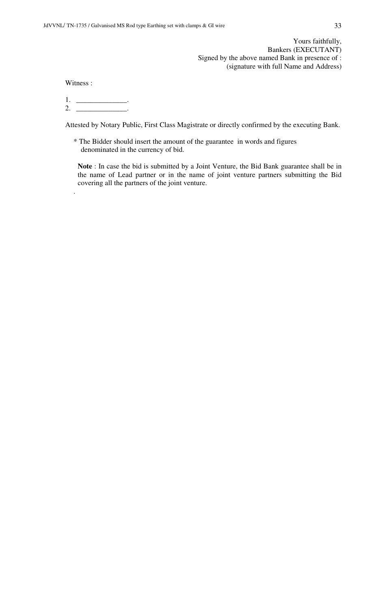Yours faithfully, Bankers (EXECUTANT) Signed by the above named Bank in presence of : (signature with full Name and Address)

Witness :

.

1. \_\_\_\_\_\_\_\_\_\_\_\_\_\_\_\_\_.  $2.$  \_\_\_\_\_\_\_\_\_\_\_\_\_\_\_\_\_\_.

Attested by Notary Public, First Class Magistrate or directly confirmed by the executing Bank.

\* The Bidder should insert the amount of the guarantee in words and figures denominated in the currency of bid.

**Note** : In case the bid is submitted by a Joint Venture, the Bid Bank guarantee shall be in the name of Lead partner or in the name of joint venture partners submitting the Bid covering all the partners of the joint venture.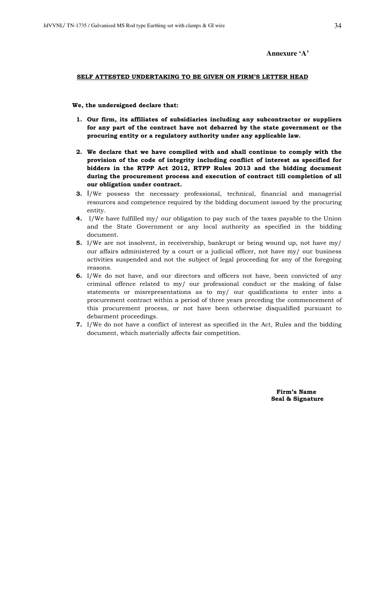# **Annexure 'A'**

#### SELF ATTESTED UNDERTAKING TO BE GIVEN ON FIRM'S LETTER HEAD

#### We, the undersigned declare that:

- 1. Our firm, its affiliates of subsidiaries including any subcontractor or suppliers for any part of the contract have not debarred by the state government or the procuring entity or a regulatory authority under any applicable law.
- 2. We declare that we have complied with and shall continue to comply with the provision of the code of integrity including conflict of interest as specified for bidders in the RTPP Act 2012, RTPP Rules 2013 and the bidding document during the procurement process and execution of contract till completion of all our obligation under contract.
- 3. I/We possess the necessary professional, technical, financial and managerial resources and competence required by the bidding document issued by the procuring entity.
- 4. I/We have fulfilled my/ our obligation to pay such of the taxes payable to the Union and the State Government or any local authority as specified in the bidding document.
- 5. I/We are not insolvent, in receivership, bankrupt or being wound up, not have my/ our affairs administered by a court or a judicial officer, not have my/ our business activities suspended and not the subject of legal proceeding for any of the foregoing reasons.
- 6. I/We do not have, and our directors and officers not have, been convicted of any criminal offence related to my/ our professional conduct or the making of false statements or misrepresentations as to my/ our qualifications to enter into a procurement contract within a period of three years preceding the commencement of this procurement process, or not have been otherwise disqualified pursuant to debarment proceedings.
- 7. I/We do not have a conflict of interest as specified in the Act, Rules and the bidding document, which materially affects fair competition.

 Firm's Name Seal & Signature